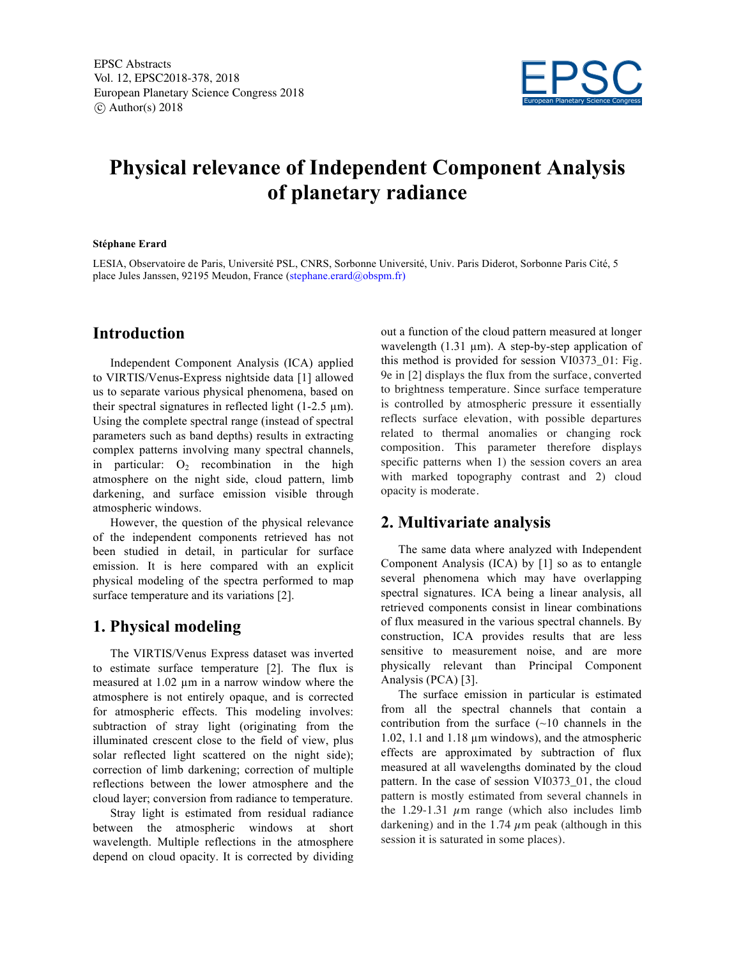

# **Physical relevance of Independent Component Analysis of planetary radiance**

#### **Stéphane Erard**

LESIA, Observatoire de Paris, Université PSL, CNRS, Sorbonne Université, Univ. Paris Diderot, Sorbonne Paris Cité, 5 place Jules Janssen, 92195 Meudon, France (stephane.erard@obspm.fr)

## **Introduction**

Independent Component Analysis (ICA) applied to VIRTIS/Venus-Express nightside data [1] allowed us to separate various physical phenomena, based on their spectral signatures in reflected light  $(1-2.5 \mu m)$ . Using the complete spectral range (instead of spectral parameters such as band depths) results in extracting complex patterns involving many spectral channels, in particular:  $O_2$  recombination in the high atmosphere on the night side, cloud pattern, limb darkening, and surface emission visible through atmospheric windows.

However, the question of the physical relevance of the independent components retrieved has not been studied in detail, in particular for surface emission. It is here compared with an explicit physical modeling of the spectra performed to map surface temperature and its variations [2].

### **1. Physical modeling**

The VIRTIS/Venus Express dataset was inverted to estimate surface temperature [2]. The flux is measured at 1.02 µm in a narrow window where the atmosphere is not entirely opaque, and is corrected for atmospheric effects. This modeling involves: subtraction of stray light (originating from the illuminated crescent close to the field of view, plus solar reflected light scattered on the night side); correction of limb darkening; correction of multiple reflections between the lower atmosphere and the cloud layer; conversion from radiance to temperature.

Stray light is estimated from residual radiance between the atmospheric windows at short wavelength. Multiple reflections in the atmosphere depend on cloud opacity. It is corrected by dividing

out a function of the cloud pattern measured at longer wavelength  $(1.31 \mu m)$ . A step-by-step application of this method is provided for session VI0373\_01: Fig. 9e in [2] displays the flux from the surface, converted to brightness temperature. Since surface temperature is controlled by atmospheric pressure it essentially reflects surface elevation, with possible departures related to thermal anomalies or changing rock composition. This parameter therefore displays specific patterns when 1) the session covers an area with marked topography contrast and 2) cloud opacity is moderate.

#### **2. Multivariate analysis**

The same data where analyzed with Independent Component Analysis (ICA) by [1] so as to entangle several phenomena which may have overlapping spectral signatures. ICA being a linear analysis, all retrieved components consist in linear combinations of flux measured in the various spectral channels. By construction, ICA provides results that are less sensitive to measurement noise, and are more physically relevant than Principal Component Analysis (PCA) [3].

The surface emission in particular is estimated from all the spectral channels that contain a contribution from the surface  $(-10 \text{ channels in the})$ 1.02, 1.1 and 1.18 µm windows), and the atmospheric effects are approximated by subtraction of flux measured at all wavelengths dominated by the cloud pattern. In the case of session VI0373\_01, the cloud pattern is mostly estimated from several channels in the 1.29-1.31  $\mu$ m range (which also includes limb darkening) and in the 1.74  $\mu$ m peak (although in this session it is saturated in some places).